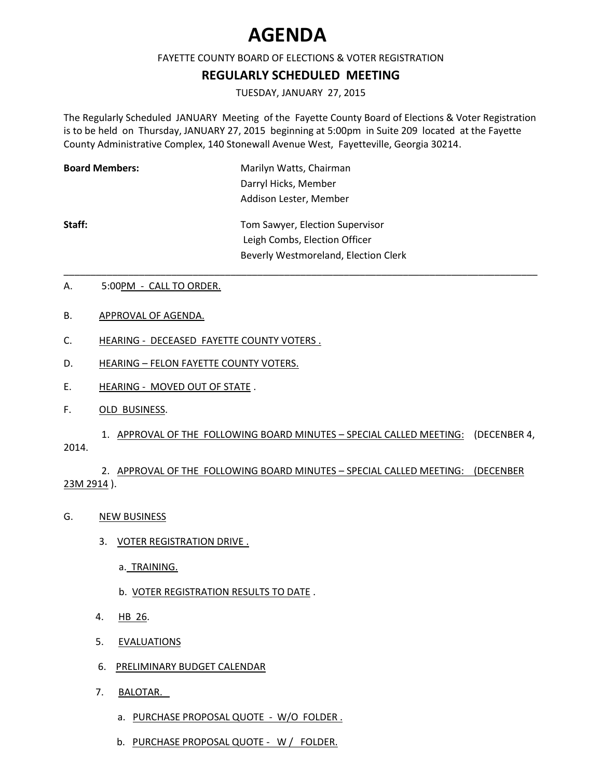## **AGENDA**

## FAYETTE COUNTY BOARD OF ELECTIONS & VOTER REGISTRATION

## **REGULARLY SCHEDULED MEETING**

TUESDAY, JANUARY 27, 2015

The Regularly Scheduled JANUARY Meeting of the Fayette County Board of Elections & Voter Registration is to be held on Thursday, JANUARY 27, 2015 beginning at 5:00pm in Suite 209 located at the Fayette County Administrative Complex, 140 Stonewall Avenue West, Fayetteville, Georgia 30214.

| <b>Board Members:</b> | Marilyn Watts, Chairman                                          |
|-----------------------|------------------------------------------------------------------|
|                       | Darryl Hicks, Member                                             |
|                       | Addison Lester, Member                                           |
| Staff:                | Tom Sawyer, Election Supervisor<br>Leigh Combs, Election Officer |
|                       | Beverly Westmoreland, Election Clerk                             |

\_\_\_\_\_\_\_\_\_\_\_\_\_\_\_\_\_\_\_\_\_\_\_\_\_\_\_\_\_\_\_\_\_\_\_\_\_\_\_\_\_\_\_\_\_\_\_\_\_\_\_\_\_\_\_\_\_\_\_\_\_\_\_\_\_\_\_\_\_\_\_\_\_\_\_\_\_\_\_\_\_\_\_\_\_\_\_\_

- A. 5:00PM CALL TO ORDER.
- B. APPROVAL OF AGENDA.
- C. HEARING DECEASED FAYETTE COUNTY VOTERS.
- D. HEARING FELON FAYETTE COUNTY VOTERS.
- E. HEARING MOVED OUT OF STATE.
- F. OLD BUSINESS.

1. APPROVAL OF THE FOLLOWING BOARD MINUTES – SPECIAL CALLED MEETING: (DECENBER 4, 2014.

2. APPROVAL OF THE FOLLOWING BOARD MINUTES – SPECIAL CALLED MEETING: (DECENBER 23M 2914 ).

- G. NEW BUSINESS
	- 3. VOTER REGISTRATION DRIVE .
		- a. TRAINING.
		- b. VOTER REGISTRATION RESULTS TO DATE .
	- 4. HB 26.
	- 5. EVALUATIONS
	- 6. PRELIMINARY BUDGET CALENDAR
	- 7. BALOTAR.
		- a. PURCHASE PROPOSAL QUOTE W/O FOLDER.
		- b. PURCHASE PROPOSAL QUOTE W / FOLDER.